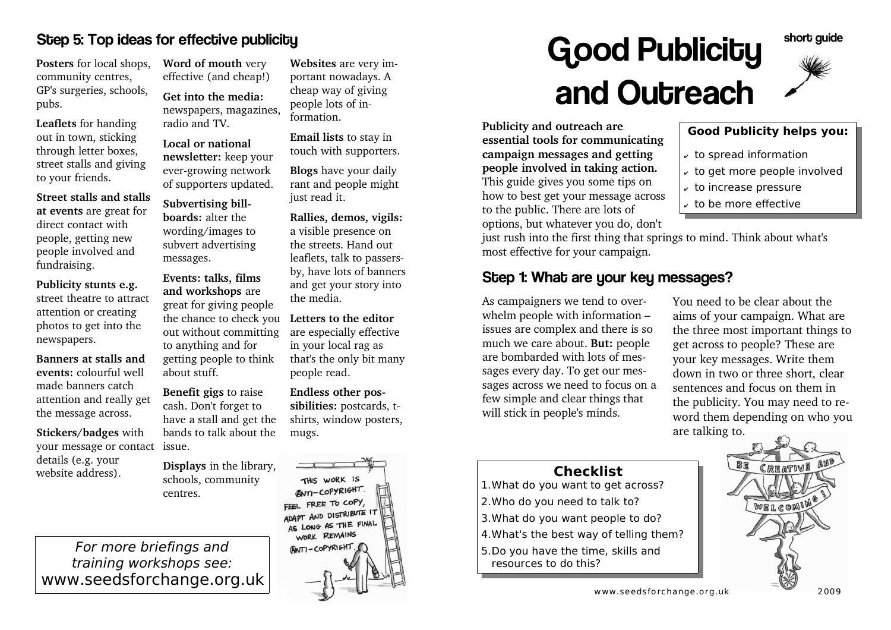#### Step 5: Top ideas for effective publicity

**Posters** for local shops,community centres, GP's surgeries, schools,pubs.

**Leaflets** for handing out in town, sticking through letter boxes, street stalls and givingto your friends.

**Street stalls and stalls at events** are great fordirect contact with people, getting new people involved andfundraising.

**Publicity stunts e.g.** street theatre to attractattention or creating photos to get into thenewspapers.

**Banners at stalls and events:** colourful wellmade banners catch attention and really getthe message across.

**Stickers/badges** withyour message or contact) issue. details (e.g. yourwebsite address).

**Word of mouth** veryeffective (and cheap!)

**Get into the media:**newspapers, magazines,radio and TV.

**Local or national newsletter:** keep your ever-growing networkof supporters updated.

**Subvertising billboards:** alter the wording/images to subvert advertisingmessages.

**Events: talks, films and workshops** are great for giving peoplethe chance to check you Letters to the editor out without committingto anything and for getting people to thinkabout stuff.

**Benefit gigs** to raise cash. Don't forget to have a stall and get thebands to talk about the

**Displays** in the library,schools, communitycentres.

For more briefings and training workshops see:www.seedsforchange.org.uk

**Websites** are very important nowadays. A cheap way of givingpeople lots of information.

**Email lists** to stay intouch with supporters.

**Blogs** have your daily rant and people mightjust read it.

**Rallies, demos, vigils:**a visible presence on the streets. Hand out leaflets, talk to passersby, have lots of banners and get your story intothe media.

 are especially effectivein your local rag as that's the only bit manypeople read.

**Endless other possibilities:** postcards, tshirts, window posters,mugs.

THIS WORK IS **ANTI-COPYRIGHT.** FEEL FREE TO COPY, ADAPT AND DISTRIBUTE IT ADAPT AND DIGHT<br>AS LONG AS THE FINAL WORK REMAINS ANTI-COPYRIGHT

# **Good Publicity** and Outreach



**Good Publicity helps you:**

short quide

- $\overline{\mathcal{C}}$  to spread information
- $\overline{\mathcal{F}}$  to get more people involved
- $\overline{\mathcal{E}}$  to increase pressure
- $\sim$  to be more effective

 just rush into the first thing that springs to mind. Think about what'smost effective for your campaign.

#### Step 1: What are your key messages?

As campaigners we tend to overwhelm people with information – issues are complex and there is so much we care about. **But:** people are bombarded with lots of messages every day. To get our messages across we need to focus on afew simple and clear things thatwill stick in people's minds.

**Checklist**

 1.What do you want to get across?2.Who do you need to talk to? 3.What do you want people to do?4.What's the best way of telling them?5.Do you have the time, skills and

resources to do this?

You need to be clear about the aims of your campaign. What are the three most important things toget across to people? These are your key messages. Write them down in two or three short, clearsentences and focus on them in the publicity. You may need to reword them depending on who youare talking to.